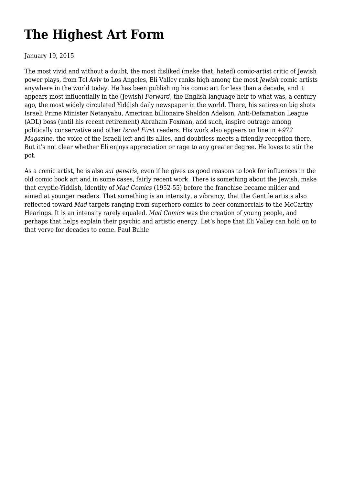# **[The Highest Art Form](https://newpol.org/issue_post/highest-art-form/)**

January 19, 2015

The most vivid and without a doubt, the most disliked (make that, hated) comic-artist critic of Jewish power plays, from Tel Aviv to Los Angeles, Eli Valley ranks high among the most *Jewish* comic artists anywhere in the world today. He has been publishing his comic art for less than a decade, and it appears most influentially in the (Jewish) *Forward*, the English-language heir to what was, a century ago, the most widely circulated Yiddish daily newspaper in the world. There, his satires on big shots Israeli Prime Minister Netanyahu, American billionaire Sheldon Adelson, Anti-Defamation League (ADL) boss (until his recent retirement) Abraham Foxman, and such, inspire outrage among politically conservative and other *Israel First* readers. His work also appears on line in *+972 Magazine*, the voice of the Israeli left and its allies, and doubtless meets a friendly reception there. But it's not clear whether Eli enjoys appreciation or rage to any greater degree. He loves to stir the pot.

As a comic artist, he is also *sui generis*, even if he gives us good reasons to look for influences in the old comic book art and in some cases, fairly recent work. There is something about the Jewish, make that cryptic-Yiddish, identity of *Mad Comics* (1952-55) before the franchise became milder and aimed at younger readers. That something is an intensity, a vibrancy, that the Gentile artists also reflected toward *Mad* targets ranging from superhero comics to beer commercials to the McCarthy Hearings. It is an intensity rarely equaled. *Mad Comics* was the creation of young people, and perhaps that helps explain their psychic and artistic energy. Let's hope that Eli Valley can hold on to that verve for decades to come. Paul Buhle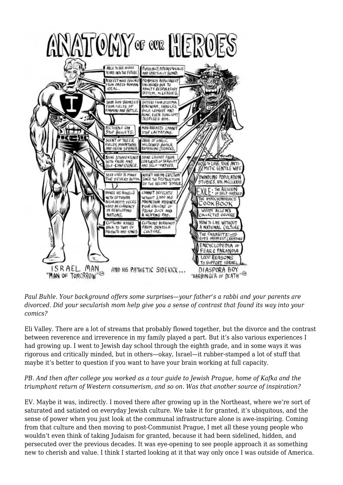

*Paul Buhle. Your background offers some surprises—your father's a rabbi and your parents are divorced. Did your secularish mom help give you a sense of contrast that found its way into your comics?*

Eli Valley. There are a lot of streams that probably flowed together, but the divorce and the contrast between reverence and irreverence in my family played a part. But it's also various experiences I had growing up. I went to Jewish day school through the eighth grade, and in some ways it was rigorous and critically minded, but in others—okay, Israel—it rubber-stamped a lot of stuff that maybe it's better to question if you want to have your brain working at full capacity.

# *PB. And then after college you worked as a tour guide to Jewish Prague, home of Kafka and the triumphant return of Western consumerism, and so on. Was that another source of inspiration?*

EV. Maybe it was, indirectly. I moved there after growing up in the Northeast, where we're sort of saturated and satiated on everyday Jewish culture. We take it for granted, it's ubiquitous, and the sense of power when you just look at the communal infrastructure alone is awe-inspiring. Coming from that culture and then moving to post-Communist Prague, I met all these young people who wouldn't even think of taking Judaism for granted, because it had been sidelined, hidden, and persecuted over the previous decades. It was eye-opening to see people approach it as something new to cherish and value. I think I started looking at it that way only once I was outside of America.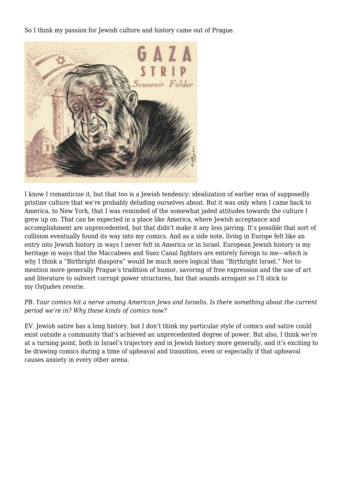So I think my passion for Jewish culture and history came out of Prague.



I know I romanticize it, but that too is a Jewish tendency: idealization of earlier eras of supposedly pristine culture that we're probably deluding ourselves about. But it was only when I came back to America, to New York, that I was reminded of the somewhat jaded attitudes towards the culture I grew up on. That can be expected in a place like America, where Jewish acceptance and accomplishment are unprecedented, but that didn't make it any less jarring. It's possible that sort of collision eventually found its way into my comics. And as a side note, living in Europe felt like an entry into Jewish history in ways I never felt in America or in Israel. European Jewish history is my heritage in ways that the Maccabees and Suez Canal fighters are entirely foreign to me—which is why I think a "Birthright diaspora" would be much more logical than "Birthright Israel." Not to mention more generally Prague's tradition of humor, savoring of free expression and the use of art and literature to subvert corrupt power structures, but that sounds arrogant so I'll stick to my *Ostjuden* reverie.

### *PB. Your comics hit a nerve among American Jews and Israelis. Is there something about the current period we're in? Why these kinds of comics now?*

EV. Jewish satire has a long history, but I don't think my particular style of comics and satire could exist outside a community that's achieved an unprecedented degree of power. But also, I think we're at a turning point, both in Israel's trajectory and in Jewish history more generally, and it's exciting to be drawing comics during a time of upheaval and transition, even or especially if that upheaval causes anxiety in every other arena.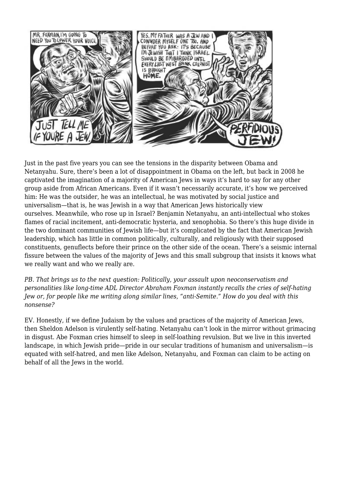

Just in the past five years you can see the tensions in the disparity between Obama and Netanyahu. Sure, there's been a lot of disappointment in Obama on the left, but back in 2008 he captivated the imagination of a majority of American Jews in ways it's hard to say for any other group aside from African Americans. Even if it wasn't necessarily accurate, it's how we perceived him: He was the outsider, he was an intellectual, he was motivated by social justice and universalism—that is, he was Jewish in a way that American Jews historically view ourselves. Meanwhile, who rose up in Israel? Benjamin Netanyahu, an anti-intellectual who stokes flames of racial incitement, anti-democratic hysteria, and xenophobia. So there's this huge divide in the two dominant communities of Jewish life—but it's complicated by the fact that American Jewish leadership, which has little in common politically, culturally, and religiously with their supposed constituents, genuflects before their prince on the other side of the ocean. There's a seismic internal fissure between the values of the majority of Jews and this small subgroup that insists it knows what we really want and who we really are.

*PB. That brings us to the next question: Politically, your assault upon neoconservatism and personalities like long-time ADL Director Abraham Foxman instantly recalls the cries of self-hating Jew or, for people like me writing along similar lines, "anti-Semite." How do you deal with this nonsense?*

EV. Honestly, if we define Judaism by the values and practices of the majority of American Jews, then Sheldon Adelson is virulently self-hating. Netanyahu can't look in the mirror without grimacing in disgust. Abe Foxman cries himself to sleep in self-loathing revulsion. But we live in this inverted landscape, in which Jewish pride—pride in our secular traditions of humanism and universalism—is equated with self-hatred, and men like Adelson, Netanyahu, and Foxman can claim to be acting on behalf of all the Jews in the world.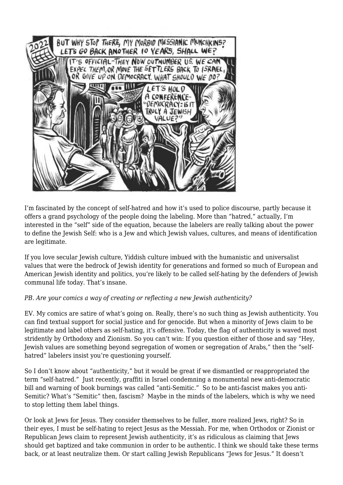

I'm fascinated by the concept of self-hatred and how it's used to police discourse, partly because it offers a grand psychology of the people doing the labeling. More than "hatred," actually, I'm interested in the "self" side of the equation, because the labelers are really talking about the power to define the Jewish Self: who is a Jew and which Jewish values, cultures, and means of identification are legitimate.

If you love secular Jewish culture, Yiddish culture imbued with the humanistic and universalist values that were the bedrock of Jewish identity for generations and formed so much of European and American Jewish identity and politics, you're likely to be called self-hating by the defenders of Jewish communal life today. That's insane.

# *PB. Are your comics a way of creating or reflecting a new Jewish authenticity?*

EV. My comics are satire of what's going on. Really, there's no such thing as Jewish authenticity. You can find textual support for social justice and for genocide. But when a minority of Jews claim to be legitimate and label others as self-hating, it's offensive. Today, the flag of authenticity is waved most stridently by Orthodoxy and Zionism. So you can't win: If you question either of those and say "Hey, Jewish values are something beyond segregation of women or segregation of Arabs," then the "selfhatred" labelers insist you're questioning yourself.

So I don't know about "authenticity," but it would be great if we dismantled or reappropriated the term "self-hatred." Just recently, graffiti in Israel condemning a monumental new anti-democratic bill and warning of book burnings was called "anti-Semitic." So to be anti-fascist makes you anti-Semitic? What's "Semitic" then, fascism? Maybe in the minds of the labelers, which is why we need to stop letting them label things.

Or look at Jews for Jesus. They consider themselves to be fuller, more realized Jews, right? So in their eyes, I must be self-hating to reject Jesus as the Messiah. For me, when Orthodox or Zionist or Republican Jews claim to represent Jewish authenticity, it's as ridiculous as claiming that Jews should get baptized and take communion in order to be authentic. I think we should take these terms back, or at least neutralize them. Or start calling Jewish Republicans "Jews for Jesus." It doesn't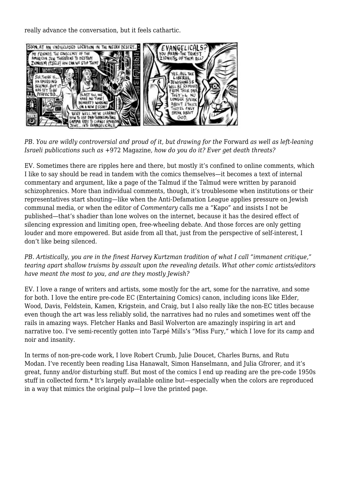really advance the conversation, but it feels cathartic.



*PB. You are wildly controversial and proud of it, but drawing for the Forward as well as left-leaning Israeli publications such as* +972 Magazine*, how do you do it? Ever get death threats?*

EV. Sometimes there are ripples here and there, but mostly it's confined to online comments, which I like to say should be read in tandem with the comics themselves—it becomes a text of internal commentary and argument, like a page of the Talmud if the Talmud were written by paranoid schizophrenics. More than individual comments, though, it's troublesome when institutions or their representatives start shouting—like when the Anti-Defamation League applies pressure on Jewish communal media, or when the editor of *Commentary* calls me a "Kapo" and insists I not be published—that's shadier than lone wolves on the internet, because it has the desired effect of silencing expression and limiting open, free-wheeling debate. And those forces are only getting louder and more empowered. But aside from all that, just from the perspective of self-interest, I don't like being silenced.

*PB. Artistically, you are in the finest Harvey Kurtzman tradition of what I call "immanent critique," tearing apart shallow truisms by assault upon the revealing details. What other comic artists/editors have meant the most to you, and are they mostly Jewish?*

EV. I love a range of writers and artists, some mostly for the art, some for the narrative, and some for both. I love the entire pre-code EC (Entertaining Comics) canon, including icons like Elder, Wood, Davis, Feldstein, Kamen, Krigstein, and Craig, but I also really like the non-EC titles because even though the art was less reliably solid, the narratives had no rules and sometimes went off the rails in amazing ways. Fletcher Hanks and Basil Wolverton are amazingly inspiring in art and narrative too. I've semi-recently gotten into Tarpé Mills's "Miss Fury," which I love for its camp and noir and insanity.

In terms of non-pre-code work, I love Robert Crumb, Julie Doucet, Charles Burns, and Rutu Modan. I've recently been reading Lisa Hanawalt, Simon Hanselmann, and Julia Gfrorer, and it's great, funny and/or disturbing stuff. But most of the comics I end up reading are the pre-code 1950s stuff in collected form.\* It's largely available online but—especially when the colors are reproduced in a way that mimics the original pulp—I love the printed page.